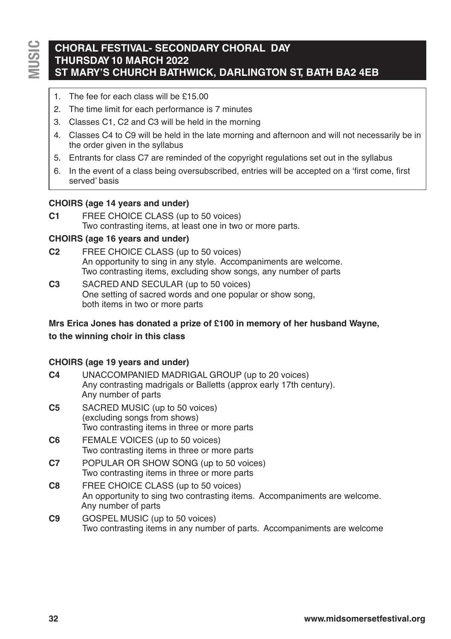# **CHORAL FESTIVAL- SECONDARY CHORAL DAY THURSDAY10 MARCH 2022 ST MARY'S CHURCH BATHWICK, DARLINGTON ST, BATH BA2 4EB**

- 1. The fee for each class will be £15.00
- 2. The time limit for each performance is 7 minutes
- 3. Classes C1, C2 and C3 will be held in the morning
- 4. Classes C4 to C9 will be held in the late morning and afternoon and will not necessarily be in the order given in the syllabus
- 5. Entrants for class C7 are reminded of the copyright regulations set out in the syllabus
- 6. In the event of a class being oversubscribed, entries will be accepted on a 'first come, first served' basis

### **CHOIRS (age 14 years and under)**

**C1** FREE CHOICE CLASS (up to 50 voices) Two contrasting items, at least one in two or more parts.

#### **CHOIRS (age 16 years and under)**

- **C2** FREE CHOICE CLASS (up to 50 voices) An opportunity to sing in any style. Accompaniments are welcome. Two contrasting items, excluding show songs, any number of parts
- **C3** SACRED AND SECULAR (up to 50 voices) One setting of sacred words and one popular or show song, both items in two or more parts

## **Mrs Erica Jones has donated a prize of £100 in memory of her husband Wayne,**

#### **to the winning choir in this class**

#### **CHOIRS (age 19 years and under)**

- **C4** UNACCOMPANIED MADRIGAL GROUP (up to 20 voices) Any contrasting madrigals or Balletts (approx early 17th century). Any number of parts
- **C5** SACRED MUSIC (up to 50 voices) (excluding songs from shows) Two contrasting items in three or more parts
- **C6** FEMALE VOICES (up to 50 voices) Two contrasting items in three or more parts
- **C7** POPULAR OR SHOW SONG (up to 50 voices) Two contrasting items in three or more parts
- **C8** FREE CHOICE CLASS (up to 50 voices) An opportunity to sing two contrasting items. Accompaniments are welcome. Any number of parts
- **C9** GOSPEL MUSIC (up to 50 voices) Two contrasting items in any number of parts. Accompaniments are welcome